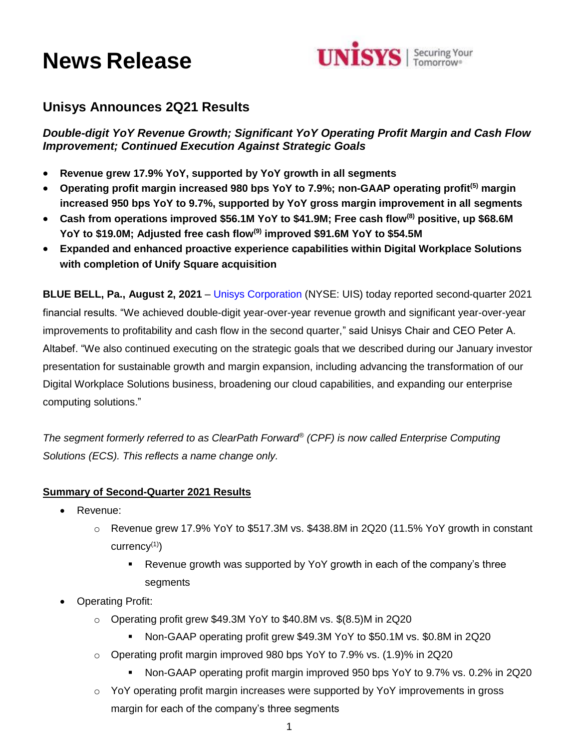# **News Release**



## **Unisys Announces 2Q21 Results**

*Double-digit YoY Revenue Growth; Significant YoY Operating Profit Margin and Cash Flow Improvement; Continued Execution Against Strategic Goals*

- **Revenue grew 17.9% YoY, supported by YoY growth in all segments**
- **Operating profit margin increased 980 bps YoY to 7.9%; non-GAAP operating profit(5) margin increased 950 bps YoY to 9.7%, supported by YoY gross margin improvement in all segments**
- **Cash from operations improved \$56.1M YoY to \$41.9M; Free cash flow(8) positive, up \$68.6M YoY to \$19.0M; Adjusted free cash flow(9) improved \$91.6M YoY to \$54.5M**
- **Expanded and enhanced proactive experience capabilities within Digital Workplace Solutions with completion of Unify Square acquisition**

**BLUE BELL, Pa., August 2, 2021** – [Unisys Corporation](http://www.unisys.com/) (NYSE: UIS) today reported second-quarter 2021 financial results. "We achieved double-digit year-over-year revenue growth and significant year-over-year improvements to profitability and cash flow in the second quarter," said Unisys Chair and CEO Peter A. Altabef. "We also continued executing on the strategic goals that we described during our January investor presentation for sustainable growth and margin expansion, including advancing the transformation of our Digital Workplace Solutions business, broadening our cloud capabilities, and expanding our enterprise computing solutions."

*The segment formerly referred to as ClearPath Forward® (CPF) is now called Enterprise Computing Solutions (ECS). This reflects a name change only.* 

#### **Summary of Second-Quarter 2021 Results**

- Revenue:
	- $\circ$  Revenue grew 17.9% YoY to \$517.3M vs. \$438.8M in 2Q20 (11.5% YoY growth in constant currency(1))
		- Revenue growth was supported by YoY growth in each of the company's three segments
- Operating Profit:
	- o Operating profit grew \$49.3M YoY to \$40.8M vs. \$(8.5)M in 2Q20
		- Non-GAAP operating profit grew \$49.3M YoY to \$50.1M vs. \$0.8M in 2Q20
	- o Operating profit margin improved 980 bps YoY to 7.9% vs. (1.9)% in 2Q20
		- Non-GAAP operating profit margin improved 950 bps YoY to 9.7% vs. 0.2% in 2Q20
	- $\circ$  YoY operating profit margin increases were supported by YoY improvements in gross margin for each of the company's three segments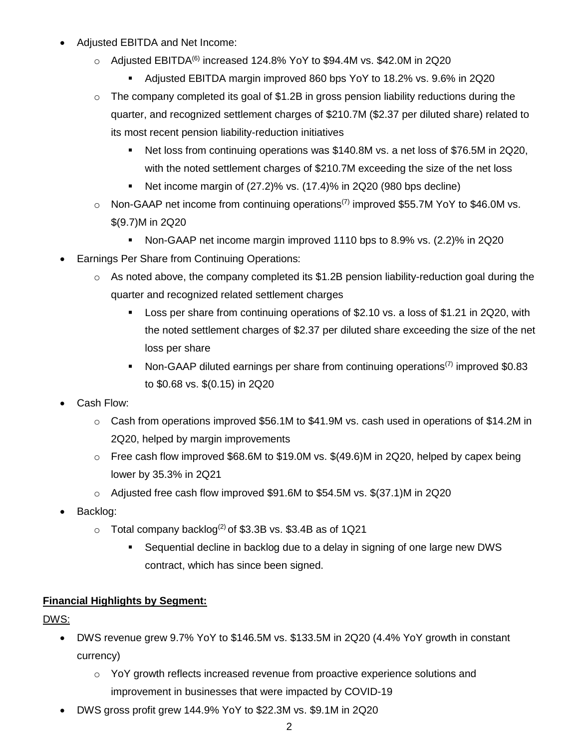- Adjusted EBITDA and Net Income:
	- $\circ$  Adjusted EBITDA<sup>(6)</sup> increased 124.8% YoY to \$94.4M vs. \$42.0M in 2Q20
		- Adjusted EBITDA margin improved 860 bps YoY to 18.2% vs. 9.6% in 2Q20
	- $\circ$  The company completed its goal of \$1.2B in gross pension liability reductions during the quarter, and recognized settlement charges of \$210.7M (\$2.37 per diluted share) related to its most recent pension liability-reduction initiatives
		- Net loss from continuing operations was \$140.8M vs. a net loss of \$76.5M in 2Q20, with the noted settlement charges of \$210.7M exceeding the size of the net loss
		- Net income margin of  $(27.2)$ % vs.  $(17.4)$ % in  $2Q20$   $(980$  bps decline)
	- $\circ$  Non-GAAP net income from continuing operations<sup>(7)</sup> improved \$55.7M YoY to \$46.0M vs. \$(9.7)M in 2Q20
		- Non-GAAP net income margin improved 1110 bps to 8.9% vs. (2.2)% in 2Q20
- Earnings Per Share from Continuing Operations:
	- $\circ$  As noted above, the company completed its \$1.2B pension liability-reduction goal during the quarter and recognized related settlement charges
		- Loss per share from continuing operations of \$2.10 vs. a loss of \$1.21 in 2Q20, with the noted settlement charges of \$2.37 per diluted share exceeding the size of the net loss per share
		- Non-GAAP diluted earnings per share from continuing operations<sup>(7)</sup> improved \$0.83 to \$0.68 vs. \$(0.15) in 2Q20
- Cash Flow:
	- o Cash from operations improved \$56.1M to \$41.9M vs. cash used in operations of \$14.2M in 2Q20, helped by margin improvements
	- $\circ$  Free cash flow improved \$68.6M to \$19.0M vs. \$(49.6)M in 2Q20, helped by capex being lower by 35.3% in 2Q21
	- o Adjusted free cash flow improved \$91.6M to \$54.5M vs. \$(37.1)M in 2Q20
- Backlog:
	- $\circ$  Total company backlog<sup>(2)</sup> of \$3.3B vs. \$3.4B as of 1Q21
		- Sequential decline in backlog due to a delay in signing of one large new DWS contract, which has since been signed.

## **Financial Highlights by Segment:**

DWS:

- DWS revenue grew 9.7% YoY to \$146.5M vs. \$133.5M in 2Q20 (4.4% YoY growth in constant currency)
	- $\circ$  YoY growth reflects increased revenue from proactive experience solutions and improvement in businesses that were impacted by COVID-19
- DWS gross profit grew 144.9% YoY to \$22.3M vs. \$9.1M in 2Q20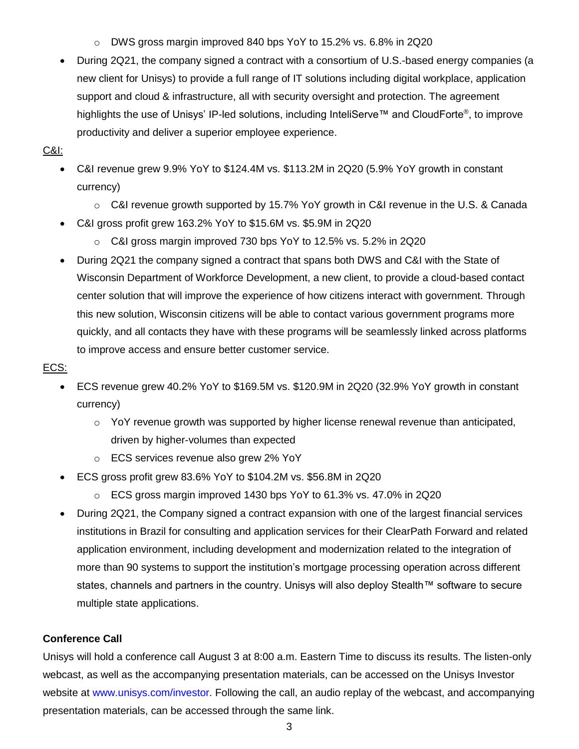- o DWS gross margin improved 840 bps YoY to 15.2% vs. 6.8% in 2Q20
- During 2Q21, the company signed a contract with a consortium of U.S.-based energy companies (a new client for Unisys) to provide a full range of IT solutions including digital workplace, application support and cloud & infrastructure, all with security oversight and protection. The agreement highlights the use of Unisys' IP-led solutions, including InteliServe™ and CloudForte®, to improve productivity and deliver a superior employee experience.

#### C&I:

- C&I revenue grew 9.9% YoY to \$124.4M vs. \$113.2M in 2Q20 (5.9% YoY growth in constant currency)
	- o C&I revenue growth supported by 15.7% YoY growth in C&I revenue in the U.S. & Canada
- C&I gross profit grew 163.2% YoY to \$15.6M vs. \$5.9M in 2Q20
	- o C&I gross margin improved 730 bps YoY to 12.5% vs. 5.2% in 2Q20
- During 2Q21 the company signed a contract that spans both DWS and C&I with the State of Wisconsin Department of Workforce Development, a new client, to provide a cloud-based contact center solution that will improve the experience of how citizens interact with government. Through this new solution, Wisconsin citizens will be able to contact various government programs more quickly, and all contacts they have with these programs will be seamlessly linked across platforms to improve access and ensure better customer service.

#### ECS:

- ECS revenue grew 40.2% YoY to \$169.5M vs. \$120.9M in 2Q20 (32.9% YoY growth in constant currency)
	- $\circ$  YoY revenue growth was supported by higher license renewal revenue than anticipated, driven by higher-volumes than expected
	- o ECS services revenue also grew 2% YoY
- ECS gross profit grew 83.6% YoY to \$104.2M vs. \$56.8M in 2Q20
	- o ECS gross margin improved 1430 bps YoY to 61.3% vs. 47.0% in 2Q20
- During 2Q21, the Company signed a contract expansion with one of the largest financial services institutions in Brazil for consulting and application services for their ClearPath Forward and related application environment, including development and modernization related to the integration of more than 90 systems to support the institution's mortgage processing operation across different states, channels and partners in the country. Unisys will also deploy Stealth™ software to secure multiple state applications.

#### **Conference Call**

Unisys will hold a conference call August 3 at 8:00 a.m. Eastern Time to discuss its results. The listen-only webcast, as well as the accompanying presentation materials, can be accessed on the Unisys Investor website at [www.unisys.com/investor.](http://www.unisys.com/investor) Following the call, an audio replay of the webcast, and accompanying presentation materials, can be accessed through the same link.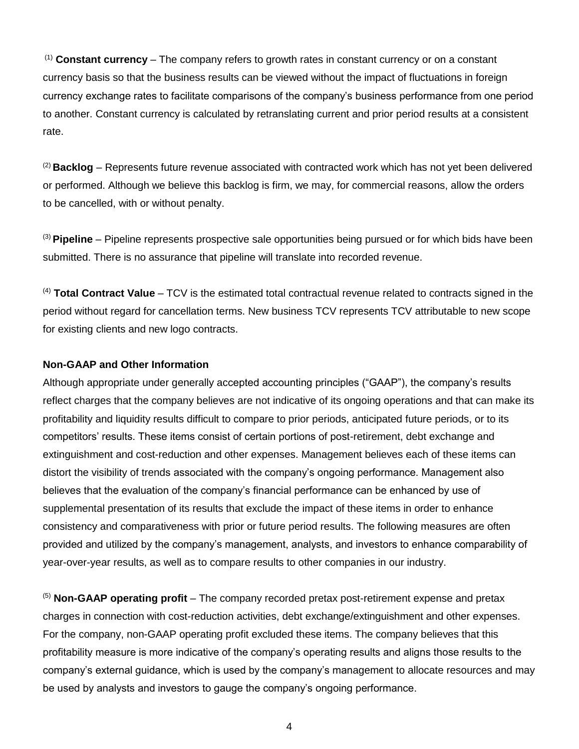(1) **Constant currency** – The company refers to growth rates in constant currency or on a constant currency basis so that the business results can be viewed without the impact of fluctuations in foreign currency exchange rates to facilitate comparisons of the company's business performance from one period to another. Constant currency is calculated by retranslating current and prior period results at a consistent rate.

(2) **Backlog** – Represents future revenue associated with contracted work which has not yet been delivered or performed. Although we believe this backlog is firm, we may, for commercial reasons, allow the orders to be cancelled, with or without penalty.

(3) **Pipeline** – Pipeline represents prospective sale opportunities being pursued or for which bids have been submitted. There is no assurance that pipeline will translate into recorded revenue.

(4) **Total Contract Value** – TCV is the estimated total contractual revenue related to contracts signed in the period without regard for cancellation terms. New business TCV represents TCV attributable to new scope for existing clients and new logo contracts.

#### **Non-GAAP and Other Information**

Although appropriate under generally accepted accounting principles ("GAAP"), the company's results reflect charges that the company believes are not indicative of its ongoing operations and that can make its profitability and liquidity results difficult to compare to prior periods, anticipated future periods, or to its competitors' results. These items consist of certain portions of post-retirement, debt exchange and extinguishment and cost-reduction and other expenses. Management believes each of these items can distort the visibility of trends associated with the company's ongoing performance. Management also believes that the evaluation of the company's financial performance can be enhanced by use of supplemental presentation of its results that exclude the impact of these items in order to enhance consistency and comparativeness with prior or future period results. The following measures are often provided and utilized by the company's management, analysts, and investors to enhance comparability of year-over-year results, as well as to compare results to other companies in our industry.

(5) **Non-GAAP operating profit** – The company recorded pretax post-retirement expense and pretax charges in connection with cost-reduction activities, debt exchange/extinguishment and other expenses. For the company, non-GAAP operating profit excluded these items. The company believes that this profitability measure is more indicative of the company's operating results and aligns those results to the company's external guidance, which is used by the company's management to allocate resources and may be used by analysts and investors to gauge the company's ongoing performance.

4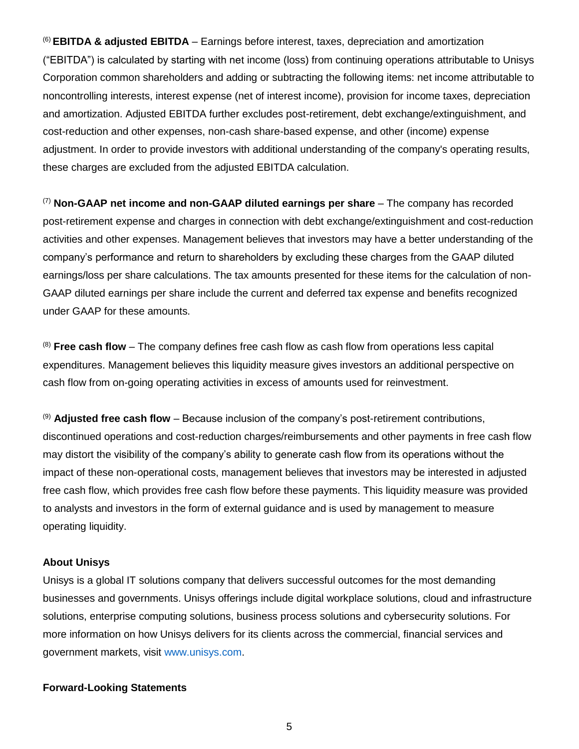(6) **EBITDA & adjusted EBITDA** – Earnings before interest, taxes, depreciation and amortization ("EBITDA") is calculated by starting with net income (loss) from continuing operations attributable to Unisys Corporation common shareholders and adding or subtracting the following items: net income attributable to noncontrolling interests, interest expense (net of interest income), provision for income taxes, depreciation and amortization. Adjusted EBITDA further excludes post-retirement, debt exchange/extinguishment, and cost-reduction and other expenses, non-cash share-based expense, and other (income) expense adjustment. In order to provide investors with additional understanding of the company's operating results, these charges are excluded from the adjusted EBITDA calculation.

(7) **Non-GAAP net income and non-GAAP diluted earnings per share** – The company has recorded post-retirement expense and charges in connection with debt exchange/extinguishment and cost-reduction activities and other expenses. Management believes that investors may have a better understanding of the company's performance and return to shareholders by excluding these charges from the GAAP diluted earnings/loss per share calculations. The tax amounts presented for these items for the calculation of non-GAAP diluted earnings per share include the current and deferred tax expense and benefits recognized under GAAP for these amounts.

(8) **Free cash flow** – The company defines free cash flow as cash flow from operations less capital expenditures. Management believes this liquidity measure gives investors an additional perspective on cash flow from on-going operating activities in excess of amounts used for reinvestment.

(9) **Adjusted free cash flow** – Because inclusion of the company's post-retirement contributions, discontinued operations and cost-reduction charges/reimbursements and other payments in free cash flow may distort the visibility of the company's ability to generate cash flow from its operations without the impact of these non-operational costs, management believes that investors may be interested in adjusted free cash flow, which provides free cash flow before these payments. This liquidity measure was provided to analysts and investors in the form of external guidance and is used by management to measure operating liquidity.

#### **About Unisys**

Unisys is a global IT solutions company that delivers successful outcomes for the most demanding businesses and governments. Unisys offerings include digital workplace solutions, cloud and infrastructure solutions, enterprise computing solutions, business process solutions and cybersecurity solutions. For more information on how Unisys delivers for its clients across the commercial, financial services and government markets, visit [www.unisys.com.](http://www.unisys.com/)

#### **Forward-Looking Statements**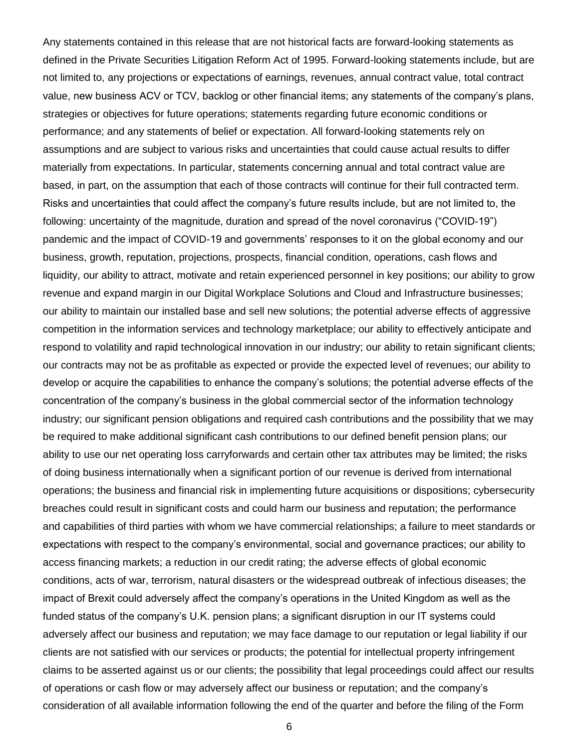Any statements contained in this release that are not historical facts are forward-looking statements as defined in the Private Securities Litigation Reform Act of 1995. Forward-looking statements include, but are not limited to, any projections or expectations of earnings, revenues, annual contract value, total contract value, new business ACV or TCV, backlog or other financial items; any statements of the company's plans, strategies or objectives for future operations; statements regarding future economic conditions or performance; and any statements of belief or expectation. All forward-looking statements rely on assumptions and are subject to various risks and uncertainties that could cause actual results to differ materially from expectations. In particular, statements concerning annual and total contract value are based, in part, on the assumption that each of those contracts will continue for their full contracted term. Risks and uncertainties that could affect the company's future results include, but are not limited to, the following: uncertainty of the magnitude, duration and spread of the novel coronavirus ("COVID-19") pandemic and the impact of COVID-19 and governments' responses to it on the global economy and our business, growth, reputation, projections, prospects, financial condition, operations, cash flows and liquidity, our ability to attract, motivate and retain experienced personnel in key positions; our ability to grow revenue and expand margin in our Digital Workplace Solutions and Cloud and Infrastructure businesses; our ability to maintain our installed base and sell new solutions; the potential adverse effects of aggressive competition in the information services and technology marketplace; our ability to effectively anticipate and respond to volatility and rapid technological innovation in our industry; our ability to retain significant clients; our contracts may not be as profitable as expected or provide the expected level of revenues; our ability to develop or acquire the capabilities to enhance the company's solutions; the potential adverse effects of the concentration of the company's business in the global commercial sector of the information technology industry; our significant pension obligations and required cash contributions and the possibility that we may be required to make additional significant cash contributions to our defined benefit pension plans; our ability to use our net operating loss carryforwards and certain other tax attributes may be limited; the risks of doing business internationally when a significant portion of our revenue is derived from international operations; the business and financial risk in implementing future acquisitions or dispositions; cybersecurity breaches could result in significant costs and could harm our business and reputation; the performance and capabilities of third parties with whom we have commercial relationships; a failure to meet standards or expectations with respect to the company's environmental, social and governance practices; our ability to access financing markets; a reduction in our credit rating; the adverse effects of global economic conditions, acts of war, terrorism, natural disasters or the widespread outbreak of infectious diseases; the impact of Brexit could adversely affect the company's operations in the United Kingdom as well as the funded status of the company's U.K. pension plans; a significant disruption in our IT systems could adversely affect our business and reputation; we may face damage to our reputation or legal liability if our clients are not satisfied with our services or products; the potential for intellectual property infringement claims to be asserted against us or our clients; the possibility that legal proceedings could affect our results of operations or cash flow or may adversely affect our business or reputation; and the company's consideration of all available information following the end of the quarter and before the filing of the Form

6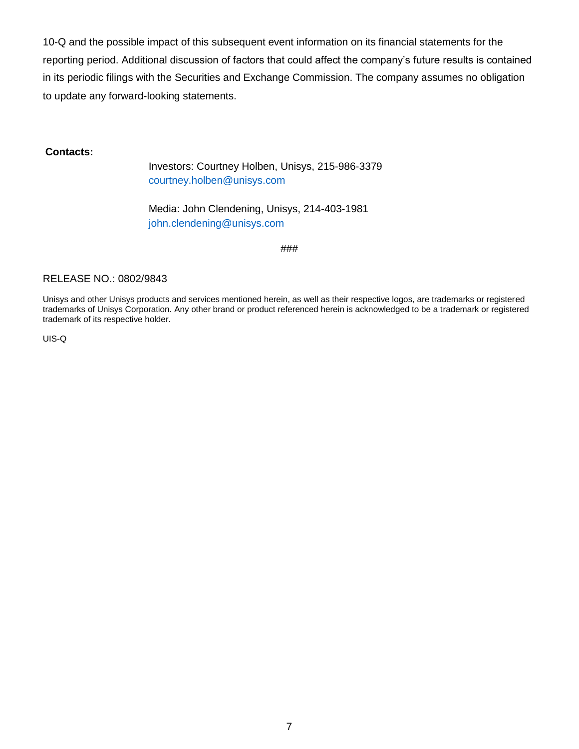10-Q and the possible impact of this subsequent event information on its financial statements for the reporting period. Additional discussion of factors that could affect the company's future results is contained in its periodic filings with the Securities and Exchange Commission. The company assumes no obligation to update any forward-looking statements.

#### **Contacts:**

Investors: Courtney Holben, Unisys, 215-986-3379 [courtney.holben@unisys.com](mailto:courtney.holben@unisys.com)

Media: John Clendening, Unisys, 214-403-1981 [john.clendening@unisys.com](mailto:john.clendening@unisys.com)

###

#### RELEASE NO.: 0802/9843

Unisys and other Unisys products and services mentioned herein, as well as their respective logos, are trademarks or registered trademarks of Unisys Corporation. Any other brand or product referenced herein is acknowledged to be a trademark or registered trademark of its respective holder.

UIS-Q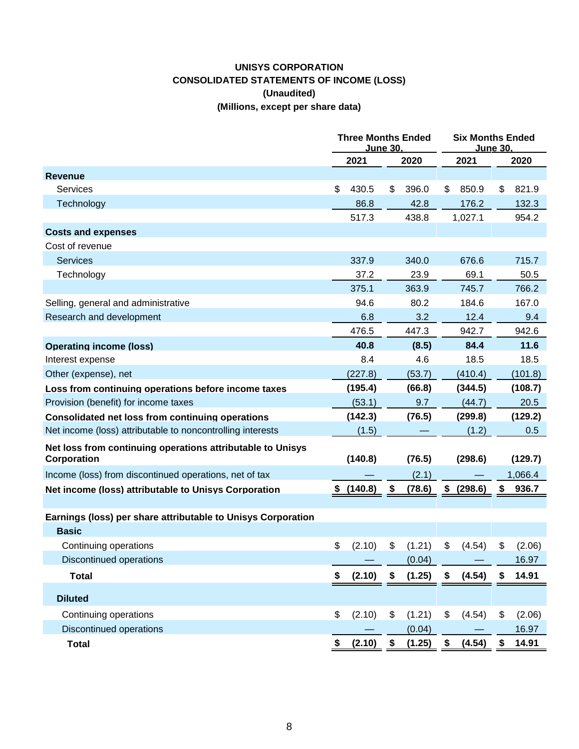## **UNISYS CORPORATION CONSOLIDATED STATEMENTS OF INCOME (LOSS) (Unaudited) (Millions, except per share data)**

|                                                              | <b>Three Months Ended</b><br><u>June 30.</u> |              |               | <b>Six Months Ended</b><br>June 30. |         |  |  |
|--------------------------------------------------------------|----------------------------------------------|--------------|---------------|-------------------------------------|---------|--|--|
|                                                              | 2021                                         | 2020         | 2021          |                                     | 2020    |  |  |
| <b>Revenue</b>                                               |                                              |              |               |                                     |         |  |  |
| Services                                                     | \$<br>430.5                                  | \$<br>396.0  | \$<br>850.9   | \$                                  | 821.9   |  |  |
| Technology                                                   | 86.8                                         | 42.8         | 176.2         |                                     | 132.3   |  |  |
|                                                              | 517.3                                        | 438.8        | 1,027.1       |                                     | 954.2   |  |  |
| <b>Costs and expenses</b>                                    |                                              |              |               |                                     |         |  |  |
| Cost of revenue                                              |                                              |              |               |                                     |         |  |  |
| <b>Services</b>                                              | 337.9                                        | 340.0        | 676.6         |                                     | 715.7   |  |  |
| Technology                                                   | 37.2                                         | 23.9         | 69.1          |                                     | 50.5    |  |  |
|                                                              | 375.1                                        | 363.9        | 745.7         |                                     | 766.2   |  |  |
| Selling, general and administrative                          | 94.6                                         | 80.2         | 184.6         |                                     | 167.0   |  |  |
| Research and development                                     | 6.8                                          | 3.2          | 12.4          |                                     | 9.4     |  |  |
|                                                              | 476.5                                        | 447.3        | 942.7         |                                     | 942.6   |  |  |
| <b>Operating income (loss)</b>                               | 40.8                                         | (8.5)        | 84.4          |                                     | 11.6    |  |  |
| Interest expense                                             | 8.4                                          | 4.6          | 18.5          |                                     | 18.5    |  |  |
| Other (expense), net                                         | (227.8)                                      | (53.7)       | (410.4)       |                                     | (101.8) |  |  |
| Loss from continuing operations before income taxes          | (195.4)                                      | (66.8)       | (344.5)       |                                     | (108.7) |  |  |
| Provision (benefit) for income taxes                         | (53.1)                                       | 9.7          | (44.7)        |                                     | 20.5    |  |  |
| Consolidated net loss from continuing operations             | (142.3)                                      | (76.5)       | (299.8)       |                                     | (129.2) |  |  |
| Net income (loss) attributable to noncontrolling interests   | (1.5)                                        |              | (1.2)         |                                     | 0.5     |  |  |
| Net loss from continuing operations attributable to Unisys   |                                              |              |               |                                     |         |  |  |
| Corporation                                                  | (140.8)                                      | (76.5)       | (298.6)       |                                     | (129.7) |  |  |
| Income (loss) from discontinued operations, net of tax       |                                              | (2.1)        |               |                                     | 1,066.4 |  |  |
| Net income (loss) attributable to Unisys Corporation         | \$<br>(140.8)                                | \$<br>(78.6) | \$<br>(298.6) | \$                                  | 936.7   |  |  |
|                                                              |                                              |              |               |                                     |         |  |  |
| Earnings (loss) per share attributable to Unisys Corporation |                                              |              |               |                                     |         |  |  |
| <b>Basic</b>                                                 |                                              |              |               |                                     |         |  |  |
| Continuing operations                                        | \$<br>(2.10)                                 | \$<br>(1.21) | \$<br>(4.54)  | \$                                  | (2.06)  |  |  |
| <b>Discontinued operations</b>                               |                                              | (0.04)       |               |                                     | 16.97   |  |  |
| <b>Total</b>                                                 | \$<br>(2.10)                                 | \$<br>(1.25) | \$<br>(4.54)  |                                     | 14.91   |  |  |
| <b>Diluted</b>                                               |                                              |              |               |                                     |         |  |  |
| Continuing operations                                        | \$<br>(2.10)                                 | \$<br>(1.21) | \$<br>(4.54)  | \$                                  | (2.06)  |  |  |
| <b>Discontinued operations</b>                               |                                              | (0.04)       |               |                                     | 16.97   |  |  |
| <b>Total</b>                                                 | \$<br>(2.10)                                 | \$<br>(1.25) | \$<br>(4.54)  | \$                                  | 14.91   |  |  |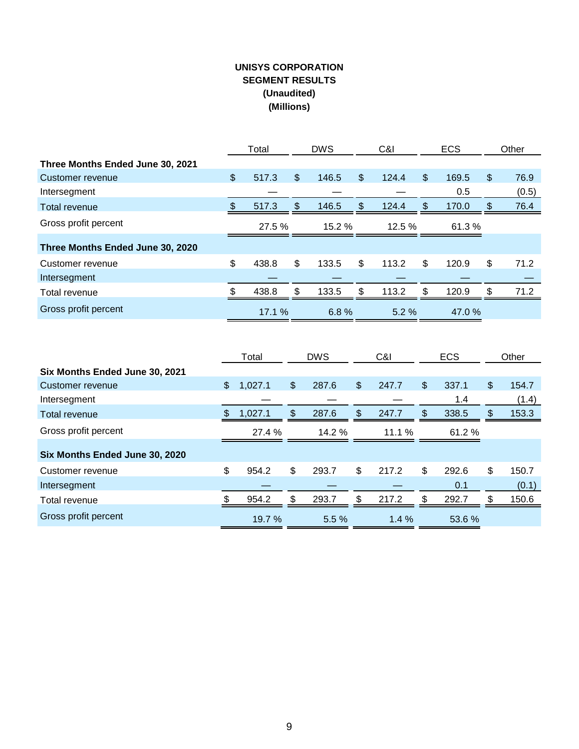## **UNISYS CORPORATION SEGMENT RESULTS (Unaudited) (Millions)**

|                                  |     | Total  |                | <b>DWS</b> | C&I |         | <b>ECS</b> |        |     | Other |
|----------------------------------|-----|--------|----------------|------------|-----|---------|------------|--------|-----|-------|
| Three Months Ended June 30, 2021 |     |        |                |            |     |         |            |        |     |       |
| Customer revenue                 | \$  | 517.3  | $\mathfrak{L}$ | 146.5      | \$  | 124.4   | \$         | 169.5  | \$  | 76.9  |
| Intersegment                     |     |        |                |            |     |         |            | 0.5    |     | (0.5) |
| <b>Total revenue</b>             | \$. | 517.3  | \$             | 146.5      | \$  | 124.4   | \$         | 170.0  | \$. | 76.4  |
| Gross profit percent             |     | 27.5 % |                | 15.2 %     |     | 12.5%   |            | 61.3 % |     |       |
| Three Months Ended June 30, 2020 |     |        |                |            |     |         |            |        |     |       |
| Customer revenue                 | \$  | 438.8  | \$             | 133.5      | \$  | 113.2   | \$         | 120.9  | \$  | 71.2  |
| Intersegment                     |     |        |                |            |     |         |            |        |     |       |
| Total revenue                    |     | 438.8  | \$             | 133.5      | \$  | 113.2   | \$.        | 120.9  | \$. | 71.2  |
| Gross profit percent             |     | 17.1 % |                | 6.8%       |     | $5.2\%$ |            | 47.0%  |     |       |

|                                |     | Total   | <b>DWS</b><br>C&I |       |     | <b>ECS</b> |     | Other  |    |       |
|--------------------------------|-----|---------|-------------------|-------|-----|------------|-----|--------|----|-------|
| Six Months Ended June 30, 2021 |     |         |                   |       |     |            |     |        |    |       |
| Customer revenue               | \$  | 1,027.1 | \$                | 287.6 | \$  | 247.7      | \$  | 337.1  | \$ | 154.7 |
| Intersegment                   |     |         |                   |       |     |            |     | 1.4    |    | (1.4) |
| <b>Total revenue</b>           | \$. | 1,027.1 | \$                | 287.6 | S   | 247.7      | \$. | 338.5  | æ. | 153.3 |
| Gross profit percent           |     | 27.4 %  |                   | 14.2% |     | 11.1 %     |     | 61.2 % |    |       |
| Six Months Ended June 30, 2020 |     |         |                   |       |     |            |     |        |    |       |
| Customer revenue               | \$  | 954.2   | \$                | 293.7 | \$  | 217.2      | \$  | 292.6  | \$ | 150.7 |
| Intersegment                   |     |         |                   |       |     |            |     | 0.1    |    | (0.1) |
| Total revenue                  |     | 954.2   | \$                | 293.7 | \$. | 217.2      | \$. | 292.7  | S  | 150.6 |
| Gross profit percent           |     | 19.7%   |                   | 5.5%  |     | $1.4\%$    |     | 53.6 % |    |       |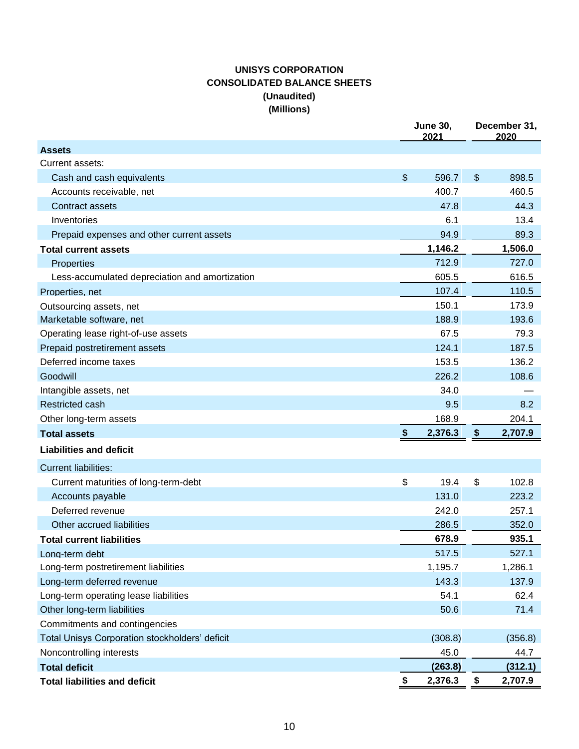## **UNISYS CORPORATION CONSOLIDATED BALANCE SHEETS (Unaudited) (Millions)**

|                                                |                             | <b>June 30,</b><br>2021 | December 31,<br>2020 |
|------------------------------------------------|-----------------------------|-------------------------|----------------------|
| <b>Assets</b>                                  |                             |                         |                      |
| Current assets:                                |                             |                         |                      |
| Cash and cash equivalents                      | \$                          | 596.7                   | \$<br>898.5          |
| Accounts receivable, net                       |                             | 400.7                   | 460.5                |
| <b>Contract assets</b>                         |                             | 47.8                    | 44.3                 |
| Inventories                                    |                             | 6.1                     | 13.4                 |
| Prepaid expenses and other current assets      |                             | 94.9                    | 89.3                 |
| <b>Total current assets</b>                    |                             | 1,146.2                 | 1,506.0              |
| <b>Properties</b>                              |                             | 712.9                   | 727.0                |
| Less-accumulated depreciation and amortization |                             | 605.5                   | 616.5                |
| Properties, net                                |                             | 107.4                   | 110.5                |
| Outsourcing assets, net                        |                             | 150.1                   | 173.9                |
| Marketable software, net                       |                             | 188.9                   | 193.6                |
| Operating lease right-of-use assets            |                             | 67.5                    | 79.3                 |
| Prepaid postretirement assets                  |                             | 124.1                   | 187.5                |
| Deferred income taxes                          |                             | 153.5                   | 136.2                |
| Goodwill                                       |                             | 226.2                   | 108.6                |
| Intangible assets, net                         |                             | 34.0                    |                      |
| <b>Restricted cash</b>                         |                             | 9.5                     | 8.2                  |
| Other long-term assets                         |                             | 168.9                   | 204.1                |
| <b>Total assets</b>                            | $\boldsymbol{\hat{\theta}}$ | 2,376.3                 | \$<br>2,707.9        |
| <b>Liabilities and deficit</b>                 |                             |                         |                      |
| <b>Current liabilities:</b>                    |                             |                         |                      |
| Current maturities of long-term-debt           | \$                          | 19.4                    | \$<br>102.8          |
| Accounts payable                               |                             | 131.0                   | 223.2                |
| Deferred revenue                               |                             | 242.0                   | 257.1                |
| Other accrued liabilities                      |                             | 286.5                   | 352.0                |
| <b>Total current liabilities</b>               |                             | 678.9                   | 935.1                |
| Long-term debt                                 |                             | 517.5                   | 527.1                |
| Long-term postretirement liabilities           |                             | 1,195.7                 | 1,286.1              |
| Long-term deferred revenue                     |                             | 143.3                   | 137.9                |
| Long-term operating lease liabilities          |                             | 54.1                    | 62.4                 |
| Other long-term liabilities                    |                             | 50.6                    | 71.4                 |
| Commitments and contingencies                  |                             |                         |                      |
| Total Unisys Corporation stockholders' deficit |                             | (308.8)                 | (356.8)              |
| Noncontrolling interests                       |                             | 45.0                    | 44.7                 |
| <b>Total deficit</b>                           |                             | (263.8)                 | (312.1)              |
| <b>Total liabilities and deficit</b>           | \$                          | 2,376.3                 | \$<br>2,707.9        |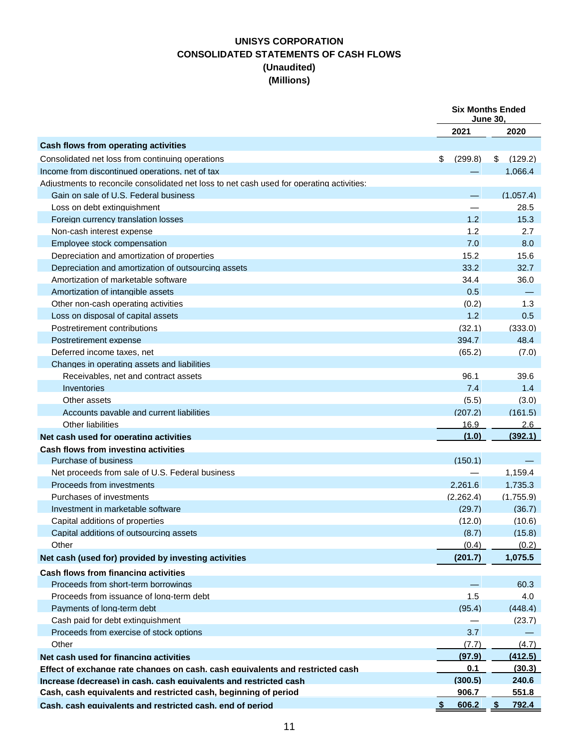## **UNISYS CORPORATION CONSOLIDATED STATEMENTS OF CASH FLOWS (Unaudited) (Millions)**

|                                                                                           | <b>Six Months Ended</b><br><b>June 30.</b> |               |
|-------------------------------------------------------------------------------------------|--------------------------------------------|---------------|
|                                                                                           | 2021                                       | 2020          |
| Cash flows from operating activities                                                      |                                            |               |
| Consolidated net loss from continuing operations                                          | (299.8)<br>\$                              | \$<br>(129.2) |
| Income from discontinued operations, net of tax                                           |                                            | 1.066.4       |
| Adjustments to reconcile consolidated net loss to net cash used for operating activities: |                                            |               |
| Gain on sale of U.S. Federal business                                                     |                                            | (1,057.4)     |
| Loss on debt extinguishment                                                               |                                            | 28.5          |
| Foreign currency translation losses                                                       | 1.2                                        | 15.3          |
| Non-cash interest expense                                                                 | 1.2                                        | 2.7           |
| Employee stock compensation                                                               | 7.0                                        | 8.0           |
| Depreciation and amortization of properties                                               | 15.2                                       | 15.6          |
| Depreciation and amortization of outsourcing assets                                       | 33.2                                       | 32.7          |
| Amortization of marketable software                                                       | 34.4                                       | 36.0          |
| Amortization of intangible assets                                                         | 0.5                                        |               |
| Other non-cash operating activities                                                       | (0.2)                                      | 1.3           |
| Loss on disposal of capital assets                                                        | 1.2                                        | 0.5           |
| Postretirement contributions                                                              | (32.1)                                     | (333.0)       |
| Postretirement expense                                                                    | 394.7                                      | 48.4          |
| Deferred income taxes, net                                                                | (65.2)                                     | (7.0)         |
| Changes in operating assets and liabilities                                               |                                            |               |
| Receivables, net and contract assets                                                      | 96.1                                       | 39.6          |
| Inventories                                                                               | 7.4                                        | 1.4           |
| Other assets                                                                              | (5.5)                                      | (3.0)         |
| Accounts pavable and current liabilities                                                  | (207.2)                                    | (161.5)       |
| Other liabilities                                                                         | 16.9                                       | 2.6           |
| Net cash used for operating activities                                                    | (1.0)                                      | (392.1)       |
| Cash flows from investing activities                                                      |                                            |               |
| Purchase of business                                                                      | (150.1)                                    |               |
| Net proceeds from sale of U.S. Federal business                                           |                                            | 1,159.4       |
| Proceeds from investments                                                                 | 2.261.6                                    | 1,735.3       |
| Purchases of investments                                                                  | (2,262.4)                                  | (1,755.9)     |
| Investment in marketable software                                                         | (29.7)                                     | (36.7)        |
| Capital additions of properties                                                           | (12.0)                                     | (10.6)        |
| Capital additions of outsourcing assets                                                   | (8.7)                                      | (15.8)        |
| Other                                                                                     | (0.4)                                      | (0.2)         |
| Net cash (used for) provided by investing activities                                      | (201.7)                                    | 1,075.5       |
| <b>Cash flows from financing activities</b>                                               |                                            |               |
| Proceeds from short-term borrowings                                                       |                                            | 60.3          |
| Proceeds from issuance of long-term debt                                                  | 1.5                                        | 4.0           |
| Payments of long-term debt                                                                | (95.4)                                     | (448.4)       |
| Cash paid for debt extinguishment                                                         |                                            | (23.7)        |
| Proceeds from exercise of stock options                                                   | 3.7                                        |               |
| Other                                                                                     | (7.7)                                      | (4.7)         |
| Net cash used for financing activities                                                    | (97.9)                                     | (412.5)       |
| Effect of exchange rate changes on cash, cash equivalents and restricted cash             | 0.1                                        | (30.3)        |
| Increase (decrease) in cash, cash equivalents and restricted cash                         | (300.5)                                    | 240.6         |
| Cash, cash equivalents and restricted cash, beginning of period                           | 906.7                                      | 551.8         |
| Cash. cash equivalents and restricted cash. end of period                                 | 606.2<br>- 5                               | 792.4<br>S.   |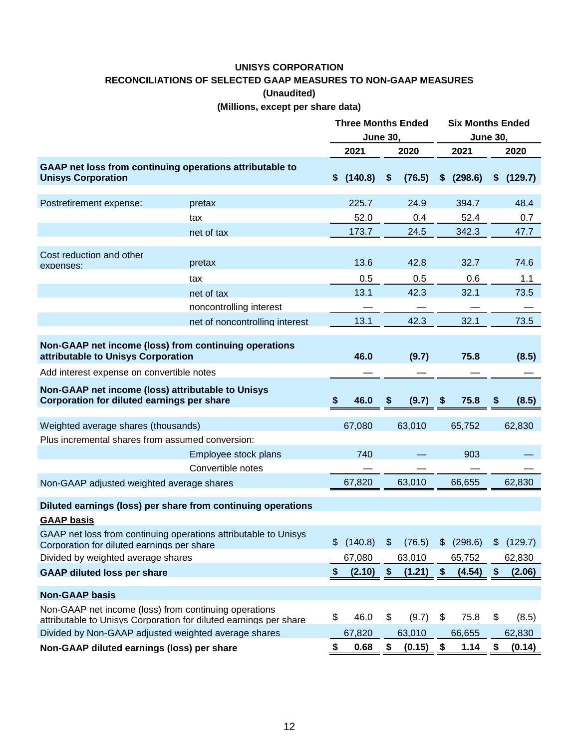## **UNISYS CORPORATION RECONCILIATIONS OF SELECTED GAAP MEASURES TO NON-GAAP MEASURES (Unaudited) (Millions, except per share data)**

|                                                                                                        |                                                                   | <b>Three Months Ended</b><br><b>June 30,</b> |           |                           |        |    | <b>Six Months Ended</b><br><b>June 30,</b> |    |           |  |
|--------------------------------------------------------------------------------------------------------|-------------------------------------------------------------------|----------------------------------------------|-----------|---------------------------|--------|----|--------------------------------------------|----|-----------|--|
|                                                                                                        |                                                                   |                                              | 2021      |                           | 2020   |    | 2021                                       |    | 2020      |  |
| <b>Unisys Corporation</b>                                                                              | GAAP net loss from continuing operations attributable to          | \$.                                          | (140.8)   | \$                        | (76.5) | \$ | (298.6)                                    | \$ | (129.7)   |  |
| Postretirement expense:                                                                                | pretax                                                            |                                              | 225.7     |                           | 24.9   |    | 394.7                                      |    | 48.4      |  |
|                                                                                                        | tax                                                               |                                              | 52.0      |                           | 0.4    |    | 52.4                                       |    | 0.7       |  |
|                                                                                                        | net of tax                                                        |                                              | 173.7     |                           | 24.5   |    | 342.3                                      |    | 47.7      |  |
| Cost reduction and other<br>expenses:                                                                  | pretax                                                            |                                              | 13.6      |                           | 42.8   |    | 32.7                                       |    | 74.6      |  |
|                                                                                                        | tax                                                               |                                              | 0.5       |                           | 0.5    |    | 0.6                                        |    | 1.1       |  |
|                                                                                                        | net of tax                                                        |                                              | 13.1      |                           | 42.3   |    | 32.1                                       |    | 73.5      |  |
|                                                                                                        | noncontrolling interest                                           |                                              |           |                           |        |    |                                            |    |           |  |
|                                                                                                        | net of noncontrolling interest                                    |                                              | 13.1      |                           | 42.3   |    | 32.1                                       |    | 73.5      |  |
| attributable to Unisys Corporation                                                                     | Non-GAAP net income (loss) from continuing operations             |                                              | 46.0      |                           | (9.7)  |    | 75.8                                       |    | (8.5)     |  |
| Add interest expense on convertible notes                                                              |                                                                   |                                              |           |                           |        |    |                                            |    |           |  |
| Non-GAAP net income (loss) attributable to Unisys<br><b>Corporation for diluted earnings per share</b> |                                                                   | \$                                           | 46.0      | \$                        | (9.7)  | \$ | 75.8                                       | \$ | (8.5)     |  |
| Weighted average shares (thousands)                                                                    |                                                                   |                                              | 67,080    |                           | 63,010 |    | 65,752                                     |    | 62,830    |  |
| Plus incremental shares from assumed conversion:                                                       |                                                                   |                                              |           |                           |        |    |                                            |    |           |  |
|                                                                                                        | Employee stock plans<br>Convertible notes                         |                                              | 740       |                           |        |    | 903                                        |    |           |  |
| Non-GAAP adjusted weighted average shares                                                              |                                                                   |                                              | 67,820    |                           | 63,010 |    | 66,655                                     |    | 62,830    |  |
| <b>GAAP basis</b>                                                                                      | Diluted earnings (loss) per share from continuing operations      |                                              |           |                           |        |    |                                            |    |           |  |
| Corporation for diluted earnings per share                                                             | GAAP net loss from continuing operations attributable to Unisys   |                                              | \$(140.8) | $\boldsymbol{\mathsf{S}}$ | (76.5) |    | \$ (298.6)                                 |    | \$(129.7) |  |
| Divided by weighted average shares                                                                     |                                                                   |                                              | 67,080    |                           | 63,010 |    | 65,752                                     |    | 62,830    |  |
| <b>GAAP diluted loss per share</b>                                                                     |                                                                   | $\boldsymbol{\mathsf{s}}$                    | (2.10)    | \$                        | (1.21) | \$ | (4.54)                                     | \$ | (2.06)    |  |
| <b>Non-GAAP basis</b>                                                                                  |                                                                   |                                              |           |                           |        |    |                                            |    |           |  |
| Non-GAAP net income (loss) from continuing operations                                                  | attributable to Unisys Corporation for diluted earnings per share | \$                                           | 46.0      | \$                        | (9.7)  | \$ | 75.8                                       | \$ | (8.5)     |  |
| Divided by Non-GAAP adjusted weighted average shares                                                   |                                                                   |                                              | 67,820    |                           | 63,010 |    | 66,655                                     |    | 62,830    |  |
| Non-GAAP diluted earnings (loss) per share                                                             |                                                                   | \$                                           | 0.68      | \$                        | (0.15) | \$ | 1.14                                       | \$ | (0.14)    |  |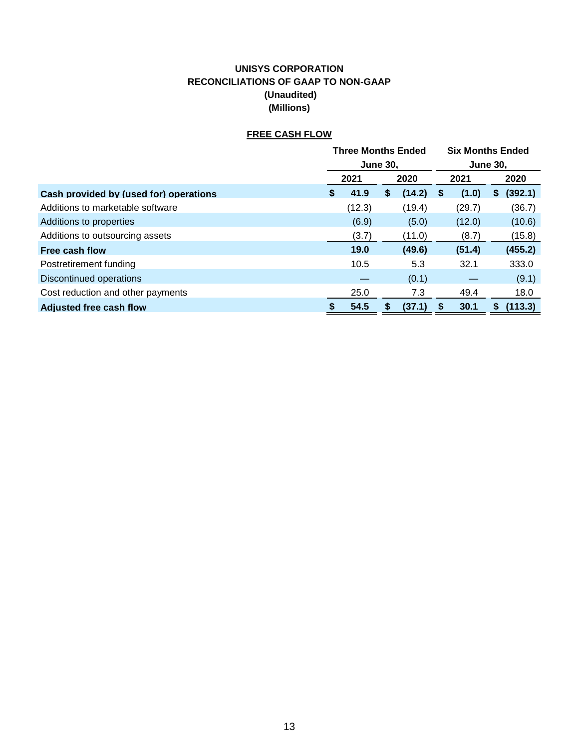## **UNISYS CORPORATION RECONCILIATIONS OF GAAP TO NON-GAAP (Unaudited) (Millions)**

## **FREE CASH FLOW**

|                                        |                 | <b>Three Months Ended</b> |    | <b>Six Months Ended</b> |    |                 |   |         |
|----------------------------------------|-----------------|---------------------------|----|-------------------------|----|-----------------|---|---------|
|                                        | <b>June 30,</b> |                           |    |                         |    | <b>June 30.</b> |   |         |
|                                        | 2021            |                           |    | 2020                    |    | 2021            |   | 2020    |
| Cash provided by (used for) operations | S.              | 41.9                      | \$ | (14.2)                  | S  | (1.0)           | S | (392.1) |
| Additions to marketable software       |                 | (12.3)                    |    | (19.4)                  |    | (29.7)          |   | (36.7)  |
| Additions to properties                |                 | (6.9)                     |    | (5.0)                   |    | (12.0)          |   | (10.6)  |
| Additions to outsourcing assets        |                 | (3.7)                     |    | (11.0)                  |    | (8.7)           |   | (15.8)  |
| Free cash flow                         |                 | 19.0                      |    | (49.6)                  |    | (51.4)          |   | (455.2) |
| Postretirement funding                 |                 | 10.5                      |    | 5.3                     |    | 32.1            |   | 333.0   |
| Discontinued operations                |                 |                           |    | (0.1)                   |    |                 |   | (9.1)   |
| Cost reduction and other payments      |                 | 25.0                      |    | 7.3                     |    | 49.4            |   | 18.0    |
| <b>Adjusted free cash flow</b>         |                 | 54.5                      | 5  | (37.1)                  | \$ | 30.1            | 5 | (113.3) |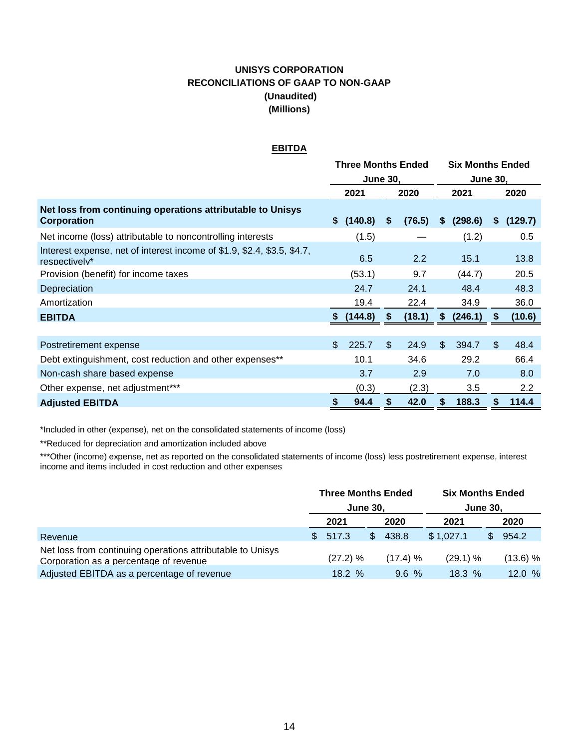## **UNISYS CORPORATION RECONCILIATIONS OF GAAP TO NON-GAAP (Unaudited) (Millions)**

#### **EBITDA**

|                                                                                          | <b>Three Months Ended</b> |           |                |        |                | <b>Six Months Ended</b> |     |               |  |  |
|------------------------------------------------------------------------------------------|---------------------------|-----------|----------------|--------|----------------|-------------------------|-----|---------------|--|--|
|                                                                                          | <b>June 30,</b>           |           |                |        |                | <b>June 30.</b>         |     |               |  |  |
|                                                                                          |                           | 2021      |                | 2020   |                | 2021                    |     | 2020          |  |  |
| Net loss from continuing operations attributable to Unisys<br>Corporation                |                           | \$(140.8) | \$             | (76.5) | \$             | (298.6)                 | \$. | (129.7)       |  |  |
| Net income (loss) attributable to noncontrolling interests                               |                           | (1.5)     |                |        |                | (1.2)                   |     | 0.5           |  |  |
| Interest expense, net of interest income of \$1.9, \$2.4, \$3.5, \$4.7,<br>respectively* |                           | 6.5       |                | 2.2    |                | 15.1                    |     | 13.8          |  |  |
| Provision (benefit) for income taxes                                                     |                           | (53.1)    |                | 9.7    |                | (44.7)                  |     | 20.5          |  |  |
| Depreciation                                                                             |                           | 24.7      |                | 24.1   |                | 48.4                    |     | 48.3          |  |  |
| Amortization                                                                             |                           | 19.4      |                | 22.4   |                | 34.9                    |     | 36.0          |  |  |
| <b>EBITDA</b>                                                                            |                           | (144.8)   |                | (18.1) | \$.            | (246.1)                 | \$  | (10.6)        |  |  |
|                                                                                          |                           |           |                |        |                |                         |     |               |  |  |
| Postretirement expense                                                                   | \$                        | 225.7     | $\mathfrak{L}$ | 24.9   | $\mathfrak{L}$ | 394.7                   | \$  | 48.4          |  |  |
| Debt extinguishment, cost reduction and other expenses**                                 |                           | 10.1      |                | 34.6   |                | 29.2                    |     | 66.4          |  |  |
| Non-cash share based expense                                                             |                           | 3.7       |                | 2.9    |                | 7.0                     |     | 8.0           |  |  |
| Other expense, net adjustment***                                                         |                           | (0.3)     |                | (2.3)  |                | 3.5                     |     | $2.2^{\circ}$ |  |  |
| <b>Adjusted EBITDA</b>                                                                   | æ.                        | 94.4      | S              | 42.0   | S.             | 188.3                   | S   | 114.4         |  |  |

\*Included in other (expense), net on the consolidated statements of income (loss)

\*\*Reduced for depreciation and amortization included above

\*\*\*Other (income) expense, net as reported on the consolidated statements of income (loss) less postretirement expense, interest income and items included in cost reduction and other expenses

|                                                                                                      | <b>Three Months Ended</b> |                 |          | <b>Six Months Ended</b> |                 |          |  |  |
|------------------------------------------------------------------------------------------------------|---------------------------|-----------------|----------|-------------------------|-----------------|----------|--|--|
|                                                                                                      |                           | <b>June 30.</b> |          |                         | <b>June 30.</b> |          |  |  |
|                                                                                                      | 2021                      |                 | 2020     | 2021                    |                 | 2020     |  |  |
| Revenue                                                                                              | \$517.3                   | $\mathcal{L}$   | 438.8    | \$1,027.1               | SS.             | 954.2    |  |  |
| Net loss from continuing operations attributable to Unisys<br>Corporation as a percentage of revenue | (27.2) %                  |                 | (17.4) % | (29.1) %                |                 | (13.6) % |  |  |
| Adjusted EBITDA as a percentage of revenue                                                           | $18.2 \%$                 |                 | 9.6%     | 18.3%                   |                 | 12.0%    |  |  |